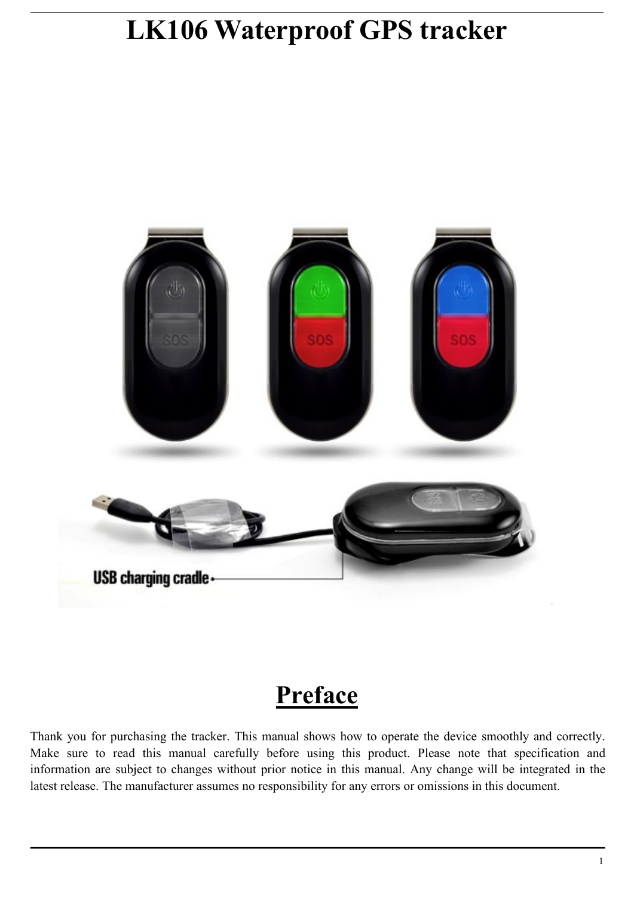# **LK106 Waterproof GPS tracker**



# **Preface**

Thank you for purchasing the tracker. This manual shows how to operate the device smoothly and correctly. Make sure to read this manual carefully before using this product. Please note that specification and information are subject to changes without prior notice in this manual. Any change will be integrated in the latest release. The manufacturer assumes no responsibility for any errors oromissions in this document.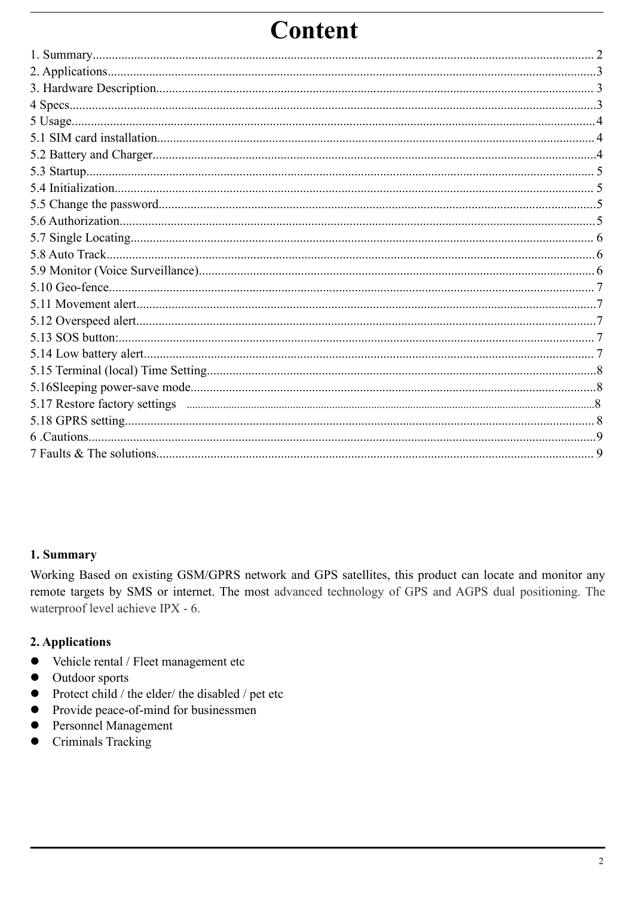# **Content**

<span id="page-1-0"></span>

## 1. Summary

Working Based on existing GSM/GPRS network and GPS satellites, this product can locate and monitor any remote targets by SMS or internet. The most advanced technology of GPS and AGPS dual positioning. The waterproof level achieve IPX - 6.

## 2. Applications

- Vehicle rental / Fleet management etc  $\bullet$
- Outdoor sports  $\bullet$
- Protect child / the elder/ the disabled / pet etc
- Provide peace-of-mind for businessmen  $\bullet$
- Personnel Management  $\bullet$
- Criminals Tracking  $\bullet$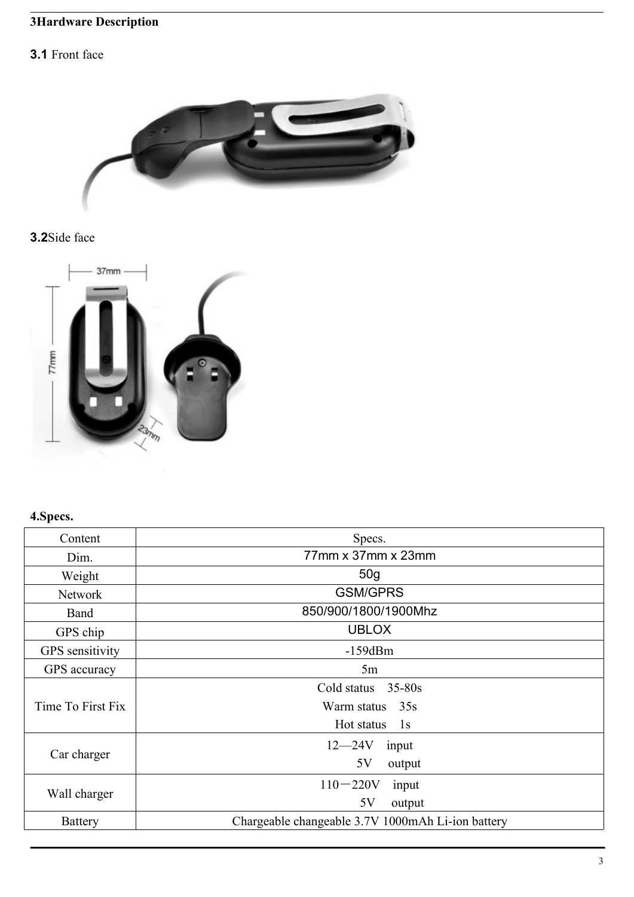# **3Hardware Description**

# **3.1** Front face



# **3.2**Side face



# **4.Specs.**

| Content           | Specs.                                            |
|-------------------|---------------------------------------------------|
| Dim.              | 77mm x 37mm x 23mm                                |
| Weight            | 50 <sub>g</sub>                                   |
| Network           | <b>GSM/GPRS</b>                                   |
| Band              | 850/900/1800/1900Mhz                              |
| GPS chip          | <b>UBLOX</b>                                      |
| GPS sensitivity   | $-159dBm$                                         |
| GPS accuracy      | 5m                                                |
|                   | Cold status<br>$35 - 80s$                         |
| Time To First Fix | Warm status 35s                                   |
|                   | Hot status<br>1s                                  |
|                   | $12 - 24V$<br>input                               |
| Car charger       | 5V<br>output                                      |
|                   | $110 - 220V$<br>input                             |
| Wall charger      | 5V<br>output                                      |
| <b>Battery</b>    | Chargeable changeable 3.7V 1000mAh Li-ion battery |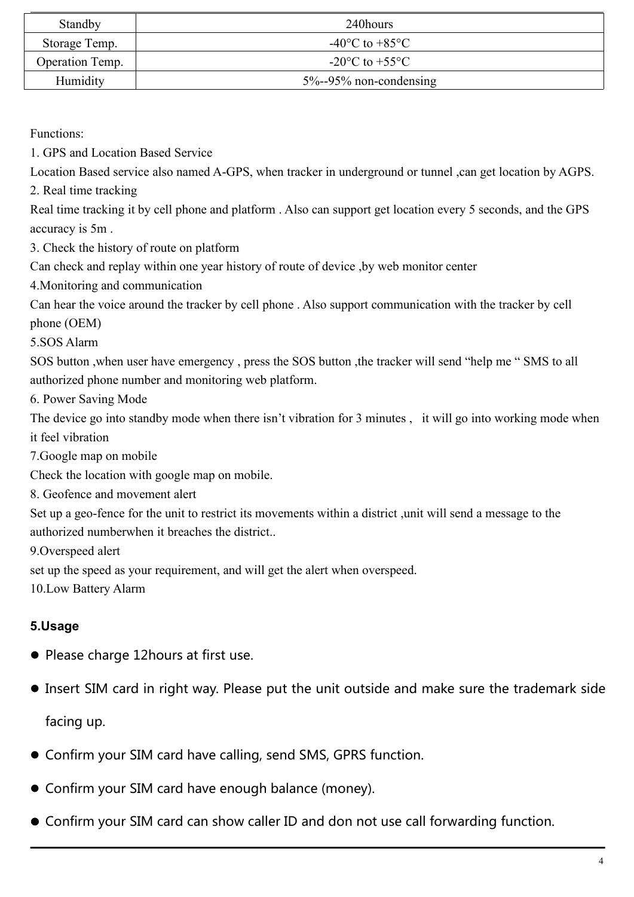| Standby         | 240hours                                             |
|-----------------|------------------------------------------------------|
| Storage Temp.   | -40 $^{\circ}$ C to +85 $^{\circ}$ C                 |
| Operation Temp. | -20 $\mathrm{^{\circ}C}$ to +55 $\mathrm{^{\circ}C}$ |
| Humidity        | $5\% - 95\%$ non-condensing                          |

Functions:

1. GPS and Location Based Service

Location Based service also named A-GPS, when tracker in underground or tunnel ,can get location by AGPS.

2. Real time tracking

Real time tracking it by cell phone and platform . Also can support get location every 5 seconds, and the GPS accuracy is 5m .

3. Check the history of route on platform

Can check and replay within one year history of route of device ,by web monitor center

4.Monitoring and communication

Can hear the voice around the tracker by cell phone . Also support communication with the tracker by cell phone (OEM)

5.SOS Alarm

SOS button ,when user have emergency , press the SOS button ,the tracker will send "help me " SMS toall authorized phone number and monitoring web platform.

6. Power Saving Mode

The device go into standby mode when there isn't vibration for 3 minutes, it will go into working mode when it feel vibration

7.Google map on mobile

Check the location with google map on mobile.

8. Geofence and movement alert

Set up a geo-fence for the unit to restrict its movements within a district ,unit will send a message to the authorized numberwhen it breaches the district...

9.Overspeed alert

set up the speed as your requirement, and will get the alert when overspeed.

10.Low Battery Alarm

# **5.Usage**

- Please charge 12hours at first use.
- Insert SIM card in right way. Please put the unit outside and make sure the trademark side

facing up.

- Confirm your SIM card have calling, send SMS, GPRS function.
- Confirm your SIM card have enough balance (money).
- Confirm your SIM card can show caller ID and don not use call forwarding function.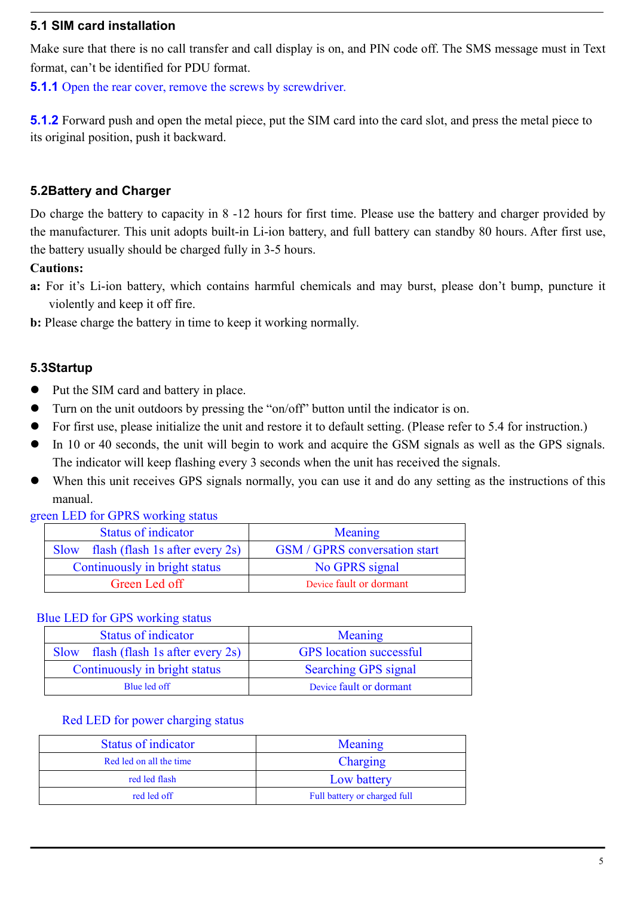### **5.1 SIM card installation**

Make sure that there is no call transfer and call display is on, and PIN code off. The SMS message must in Text format, can't be identified for PDU format.

**5.1.1** Open the rear cover, remove the screws by screwdriver.

**5.1.2** Forward push and open the metal piece, put the SIM card into the card slot, and press the metal piece to its original position, push it backward.

# **5.2Battery and Charger**

Do charge the battery to capacity in 8 -12 hours for first time. Please use the battery and charger provided by the manufacturer. This unit adopts built-in Li-ion battery, and full battery can standby 80 hours. After first use, the battery usually should be charged fully in 3-5 hours.

#### **Cautions:**

- **a:** For it's Li-ion battery, which contains harmful chemicals and may burst, please don't bump, puncture it violently and keep it off fire.
- **b:** Please charge the battery in time to keep it working normally.

#### **5.3Startup**

- Put the SIM card and battery in place.
- Turn on the unit outdoors by pressing the "on/off" button until the indicator is on.
- For first use, please initialize the unit and restore it to default setting. (Please refer to 5.4 for instruction.)
- In 10 or 40 seconds, the unit will begin to work and acquire the GSM signals as well as the GPS signals. The indicator will keep flashing every 3 seconds when the unit has received the signals.
- When this unit receives GPS signals normally, you can use it and do any setting as the instructions of this manual.

green LED for GPRS working status

| <b>Status of indicator</b>           | Meaning                              |
|--------------------------------------|--------------------------------------|
| Slow flash (flash 1s after every 2s) | <b>GSM</b> / GPRS conversation start |
| Continuously in bright status        | No GPRS signal                       |
| Green Led off                        | Device fault or dormant              |

#### Blue LED for GPS working status

| <b>Status of indicator</b>           | Meaning                        |
|--------------------------------------|--------------------------------|
| Slow flash (flash 1s after every 2s) | <b>GPS</b> location successful |
| Continuously in bright status        | Searching GPS signal           |
| Blue led off                         | Device fault or dormant        |

#### Red LED for power charging status

| <b>Status of indicator</b> | Meaning                      |
|----------------------------|------------------------------|
| Red led on all the time    | Charging                     |
| red led flash              | Low battery                  |
| red led off                | Full battery or charged full |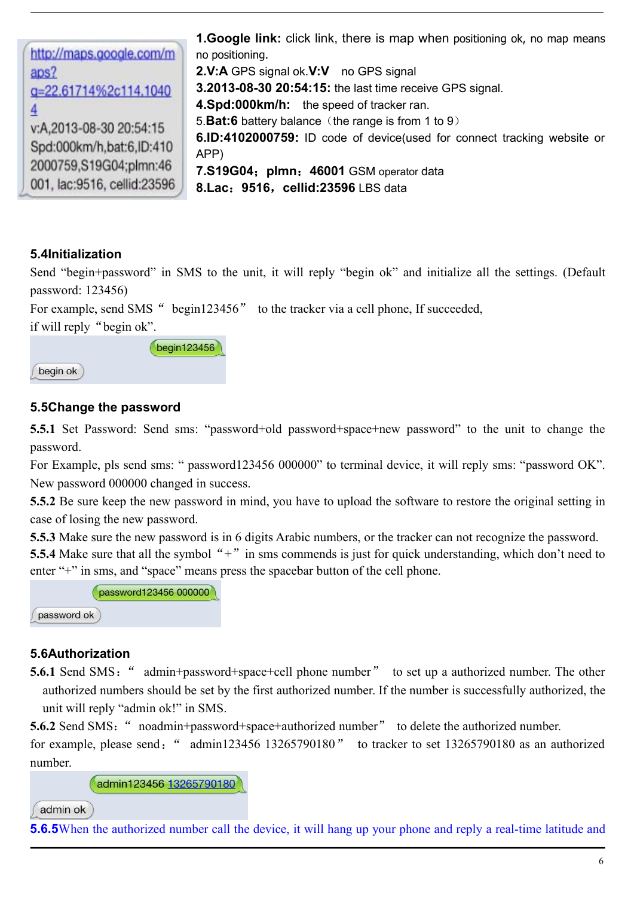**1.Google link:** click link, there is map when positioning ok, no map means http://maps.google.com/m no positioning. aps? **2.V:A** GPS signal ok.**V:V** no GPS signal **3.2013-08-30 20:54:15:** the last time receive GPS signal. q=22.61714%2c114.1040 **4.Spd:000km/h:** the speed of tracker ran. 4 5.**Bat:6** battery balance (the range is from 1 to 9) v:A.2013-08-30 20:54:15 **6.ID:4102000759:** ID code of device(used for connect tracking website or Spd:000km/h.bat:6.ID:410 APP) 2000759,S19G04;plmn:46 **7.S19G04**;**plmn**:**46001** GSM operator data 001. lac:9516. cellid:23596 **8.Lac**:**9516**,**cellid:23596** LBS data

## **5.4Initialization**

Send "begin+password" in SMS to the unit, it will reply "begin ok" and initialize all the settings. (Default password: 123456)

For example, send SMS " begin123456" to the tracker via a cell phone, If succeeded,

if will reply "begin ok".



#### **5.5Change the password**

**5.5.1** Set Password: Send sms: "password+old password+space+new password" to the unit to change the password.

For Example, pls send sms: " password123456 000000" to terminal device, it will reply sms: "password OK". New password 000000 changed in success.

**5.5.2** Be sure keep the new password in mind, you have to upload the software to restore the original setting in case of losing the new password.

**5.5.3** Make sure the new password is in 6 digits Arabic numbers, or the tracker can not recognize the password. **5.5.4** Make sure that all the symbol "+" in sms commends is just for quick understanding, which don't need to enter "+" in sms, and "space" means press the spacebar button of the cell phone.

|             | password123456 000000 |
|-------------|-----------------------|
| password ok |                       |

#### **5.6Authorization**

**5.6.1** Send SMS: "admin+password+space+cell phone number" to set up a authorized number. The other authorized numbers should be set by the first authorized number. If the number is successfully authorized, the unit will reply "admin ok!" in SMS.

**5.6.2** Send SMS: "noadmin+password+space+authorized number" to delete the authorized number.

for example, please send: " admin123456 13265790180" to tracker to set 13265790180 as an authorized number.

admin123456 13265790180

admin ok

**5.6.5**When the authorized number call the device, it will hang up your phone and reply a real-time latitude and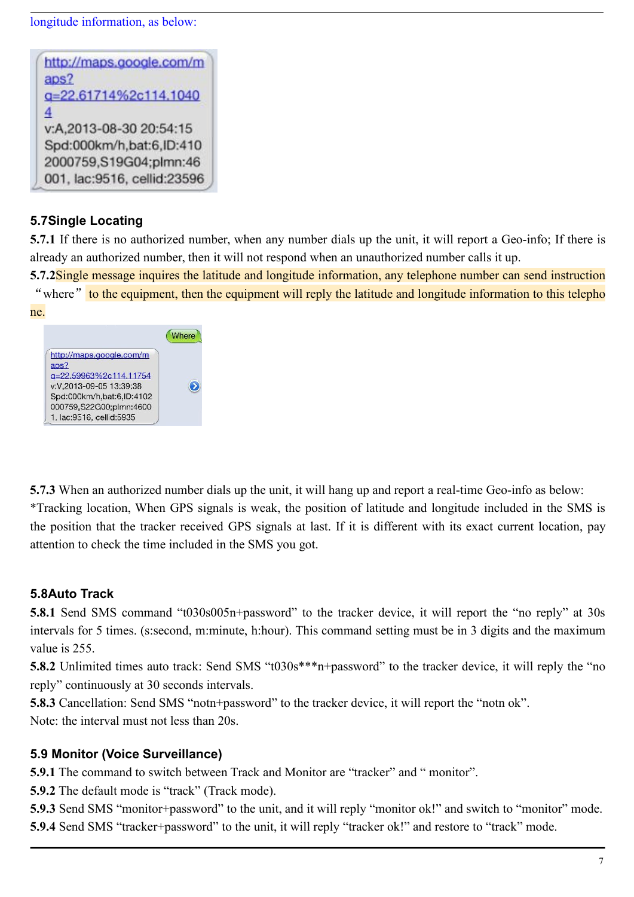longitude information, as below:



# **5.7Single Locating**

**5.7.1** If there is no authorized number, when any number dials up the unit, it will report a Geo-info; If there is already an authorized number, then it will not respond when an unauthorized number calls it up.

**5.7.2**Single message inquires the latitude and longitude information, any telephone number can send instruction "where" to the equipment, then the equipment will reply the latitude and longitude information to this telepho



**5.7.3** When an authorized number dials up the unit, it will hang up and report a real-time Geo-info as below: \*Tracking location, When GPS signals is weak, the position of latitude and longitude included in the SMS is the position that the tracker received GPS signalsat last. If it is different with its exact current location, pay attention to check the time included in the SMS you got.

# **5.8Auto Track**

**5.8.1** Send SMS command "t030s005n+password" to the tracker device, it will report the "no reply" at 30s intervals for 5 times. (s:second, m:minute, h:hour). This command setting must be in 3 digits and the maximum value is 255.

**5.8.2** Unlimited times auto track: Send SMS "t030s\*\*\*n+password" to the tracker device, it will reply the "no reply" continuously at 30 seconds intervals.

**5.8.3** Cancellation: Send SMS "notn+password" to the tracker device, it will report the "notn ok".

Note: the interval must not less than 20s.

## **5.9 Monitor (Voice Surveillance)**

**5.9.1** The command to switch between Track and Monitor are "tracker" and " monitor".

**5.9.2** The default mode is "track" (Track mode).

**5.9.3** Send SMS "monitor+password" to the unit, and it will reply "monitor ok!" and switch to "monitor" mode. **5.9.4** Send SMS "tracker+password" to the unit, it will reply "tracker ok!" and restore to "track" mode.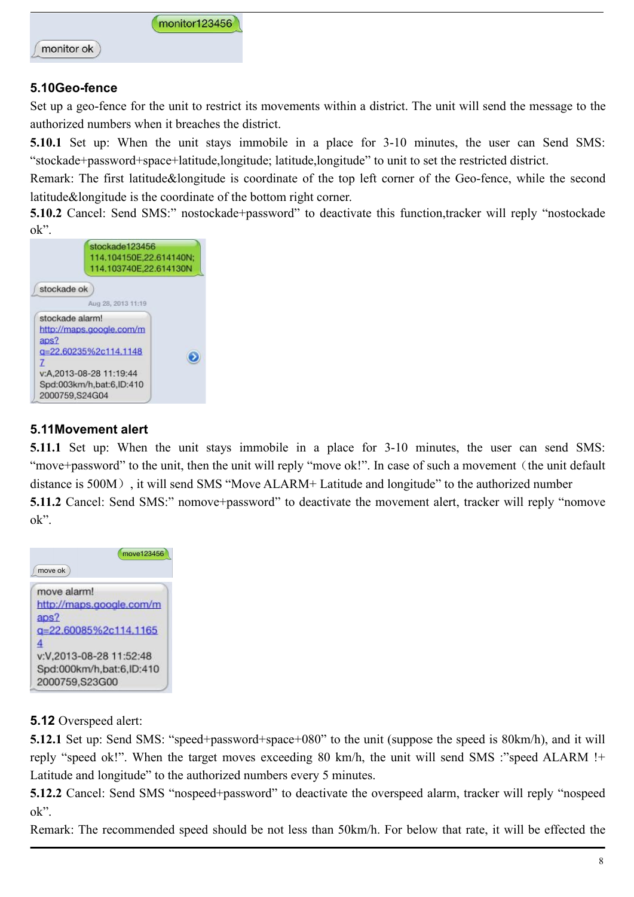

monitor ok

### **5.10Geo-fence**

Set up a geo-fence for the unit to restrict its movements within a district. The unit will send the message to the authorized numbers when it breaches the district.

**5.10.1** Set up: When the unit stays immobile in a place for 3-10 minutes, the user can Send SMS: "stockade+password+space+latitude,longitude; latitude,longitude" to unit to set the restricted district.

Remark: The first latitude&longitude is coordinate of the top left corner of the Geo-fence, while the second latitude&longitude is the coordinate of the bottom right corner.

**5.10.2** Cancel: Send SMS:" nostockade+password" to deactivate this function,tracker will reply "nostockade" ok".



# **5.11Movement alert**

**5.11.1** Set up: When the unit stays immobile in a place for 3-10 minutes, the user can send SMS: "move+password" to the unit, then the unit will reply "move ok!". In case of such a movement (the unit default distance is 500M), it will send SMS "Move ALARM+ Latitude and longitude" to the authorized number **5.11.2** Cancel: Send SMS:" nomove+password" to deactivate the movement alert, tracker will reply "nomove ok".



**5.12** Overspeed alert:

**5.12.1** Set up: Send SMS: "speed+password+space+080" to the unit (suppose the speed is 80km/h), and it will reply "speed ok!". When the target moves exceeding 80 km/h, the unit will send SMS :"speed ALARM !+ Latitude and longitude" to the authorized numbers every 5 minutes.

**5.12.2** Cancel: Send SMS "nospeed+password" to deactivate the overspeed alarm, tracker will reply "nospeed ok".

Remark: The recommended speed should be not less than 50km/h. For below that rate, it will be effected the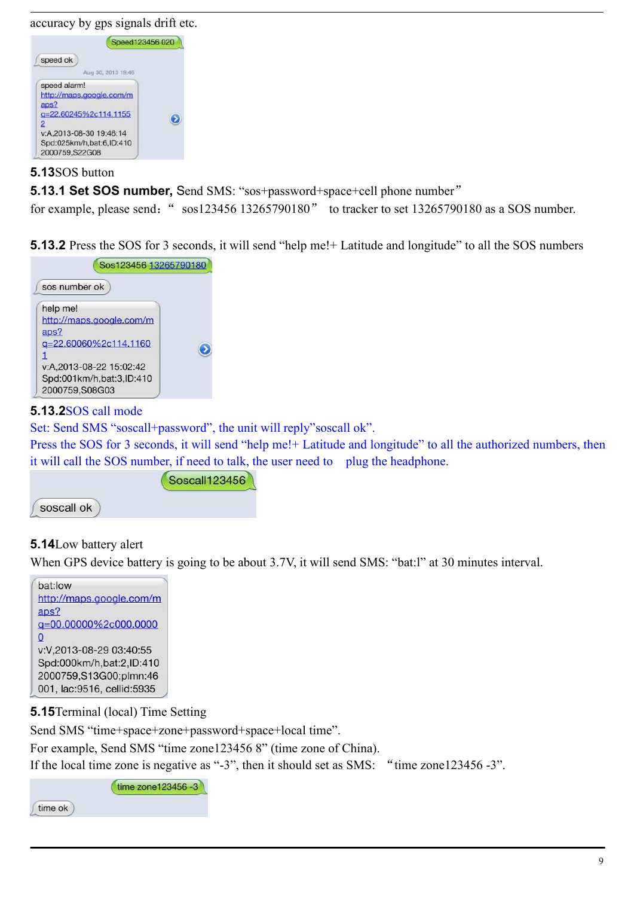accuracy by gps signals drift etc.



#### **5.13**SOS button

**5.13.1 Set SOS number,** Send SMS: "sos+password+space+cell phone number"

for example, please send:" sos123456 13265790180" to tracker to set 13265790180 as a SOS number.

**5.13.2** Press the SOS for 3 seconds, it will send "help me!+ Latitude and longitude" to all the SOS numbers



## **5.13.2**SOS call mode

Set: Send SMS "soscall+password", the unit will reply"soscall ok".

Press the SOS for 3 seconds, it will send "help me!+ Latitude and longitude" to all the authorized numbers, then it will call the SOS number, if need to talk, the user need to plug the headphone.



# **5.14**Low battery alert

When GPS device battery is going to be about 3.7V, it will send SMS: "bat:l" at 30 minutes interval.



time ok

**5.15**Terminal (local) Time Setting

Send SMS "time+space+zone+password+space+local time".

For example, Send SMS "time zone123456 8" (time zone of China).

If the local time zone is negative as "-3", then it should set as SMS: "time zone123456 -3".

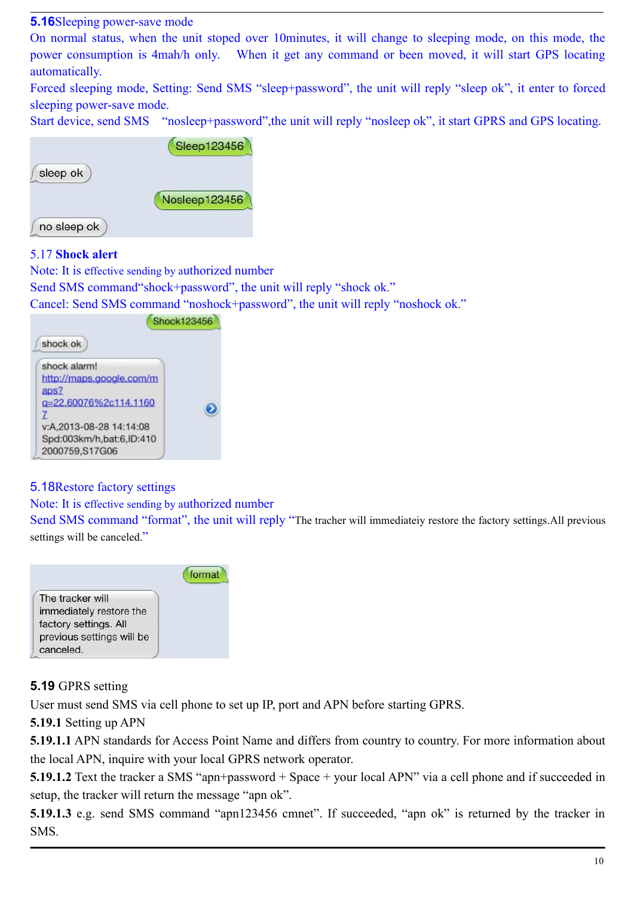#### **5.16**Sleeping power-save mode

On normal status, when the unit stoped over 10minutes, it will change to sleeping mode, on this mode, the power consumption is 4mah/h only. When it get any command or been moved, it will start GPS locating automatically.

Forced sleeping mode, Setting: Send SMS "sleep+password", the unit will reply "sleep ok", it enter to forced sleeping power-save mode.

Start device, send SMS "nosleep+password",the unit will reply "nosleep ok", it start GPRS and GPS locating.

|             | Sleep123456   |
|-------------|---------------|
| sleep ok    |               |
|             | Nosleep123456 |
| no sleep ok |               |

#### 5.17 **Shock alert**

Note: It is effective sending by authorized number Send SMS command"shock+password", the unit will reply "shock ok."

Cancel: Send SMS command "noshock+password", the unit will reply "noshock ok."



#### 5.18Restore factory settings

#### Note: It is effective sending by authorized number

Send SMS command "format", the unit will reply "The tracher will immediateiy restore the factory settings.All previous settings will be canceled."



## **5.19** GPRS setting

User must send SMS via cell phone to set up IP, port and APN before starting GPRS.

**5.19.1** Setting up APN

**5.19.1.1** APN standards for Access Point Name and differs from country to country. For more information about the local APN, inquire with your localGPRS network operator.

**5.19.1.2** Text the tracker a SMS "apn+password + Space + your local APN" via a cell phone and if succeeded in setup, the tracker will return the message "apn ok".

**5.19.1.3** e.g. send SMS command "apn123456 cmnet". If succeeded, "apn ok" is returned by the tracker in SMS.